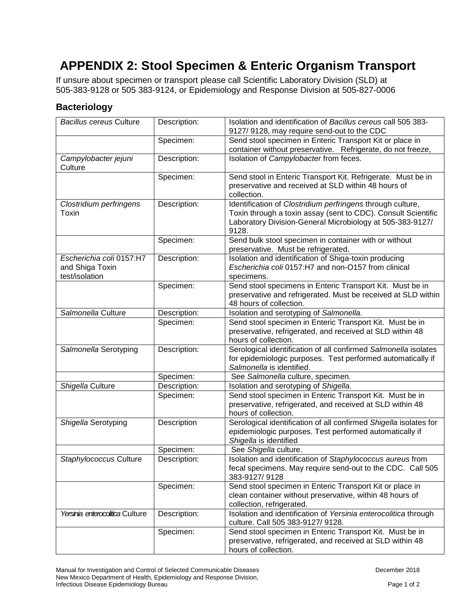## **APPENDIX 2: Stool Specimen & Enteric Organism Transport**

If unsure about specimen or transport please call Scientific Laboratory Division (SLD) at 505-383-9128 or 505 383-9124, or Epidemiology and Response Division at 505-827-0006

## **Bacteriology**

| <b>Bacillus cereus Culture</b>                                | Description: | Isolation and identification of Bacillus cereus call 505 383-<br>9127/9128, may require send-out to the CDC                                                                                       |
|---------------------------------------------------------------|--------------|---------------------------------------------------------------------------------------------------------------------------------------------------------------------------------------------------|
|                                                               | Specimen:    | Send stool specimen in Enteric Transport Kit or place in<br>container without preservative. Refrigerate, do not freeze,                                                                           |
| Campylobacter jejuni<br>Culture                               | Description: | Isolation of Campylobacter from feces.                                                                                                                                                            |
|                                                               | Specimen:    | Send stool in Enteric Transport Kit. Refrigerate. Must be in<br>preservative and received at SLD within 48 hours of<br>collection.                                                                |
| Clostridium perfringens<br>Toxin                              | Description: | Identification of Clostridium perfringens through culture,<br>Toxin through a toxin assay (sent to CDC). Consult Scientific<br>Laboratory Division-General Microbiology at 505-383-9127/<br>9128. |
|                                                               | Specimen:    | Send bulk stool specimen in container with or without<br>preservative. Must be refrigerated.                                                                                                      |
| Escherichia coli 0157:H7<br>and Shiga Toxin<br>test/isolation | Description: | Isolation and identification of Shiga-toxin producing<br>Escherichia coli 0157:H7 and non-O157 from clinical<br>specimens.                                                                        |
|                                                               | Specimen:    | Send stool specimens in Enteric Transport Kit. Must be in<br>preservative and refrigerated. Must be received at SLD within<br>48 hours of collection.                                             |
| Salmonella Culture                                            | Description: | Isolation and serotyping of Salmonella.                                                                                                                                                           |
|                                                               | Specimen:    | Send stool specimen in Enteric Transport Kit. Must be in<br>preservative, refrigerated, and received at SLD within 48<br>hours of collection.                                                     |
| Salmonella Serotyping                                         | Description: | Serological identification of all confirmed Salmonella isolates<br>for epidemiologic purposes. Test performed automatically if<br>Salmonella is identified.                                       |
|                                                               | Specimen:    | See Salmonella culture, specimen.                                                                                                                                                                 |
| Shigella Culture                                              | Description: | Isolation and serotyping of Shigella.                                                                                                                                                             |
|                                                               | Specimen:    | Send stool specimen in Enteric Transport Kit. Must be in<br>preservative, refrigerated, and received at SLD within 48<br>hours of collection.                                                     |
| Shigella Serotyping                                           | Description  | Serological identification of all confirmed Shigella isolates for<br>epidemiologic purposes. Test performed automatically if<br>Shigella is identified                                            |
|                                                               | Specimen:    | See Shigella culture.                                                                                                                                                                             |
| Staphylococcus Culture                                        | Description: | Isolation and identification of Staphylococcus aureus from<br>fecal specimens. May require send-out to the CDC. Call 505<br>383-9127/9128                                                         |
|                                                               | Specimen:    | Send stool specimen in Enteric Transport Kit or place in<br>clean container without preservative, within 48 hours of<br>collection, refrigerated.                                                 |
| Yersinia enterocolitica Culture                               | Description: | Isolation and identification of Yersinia enterocolitica through<br>culture. Call 505 383-9127/ 9128.                                                                                              |
|                                                               | Specimen:    | Send stool specimen in Enteric Transport Kit. Must be in<br>preservative, refrigerated, and received at SLD within 48<br>hours of collection.                                                     |